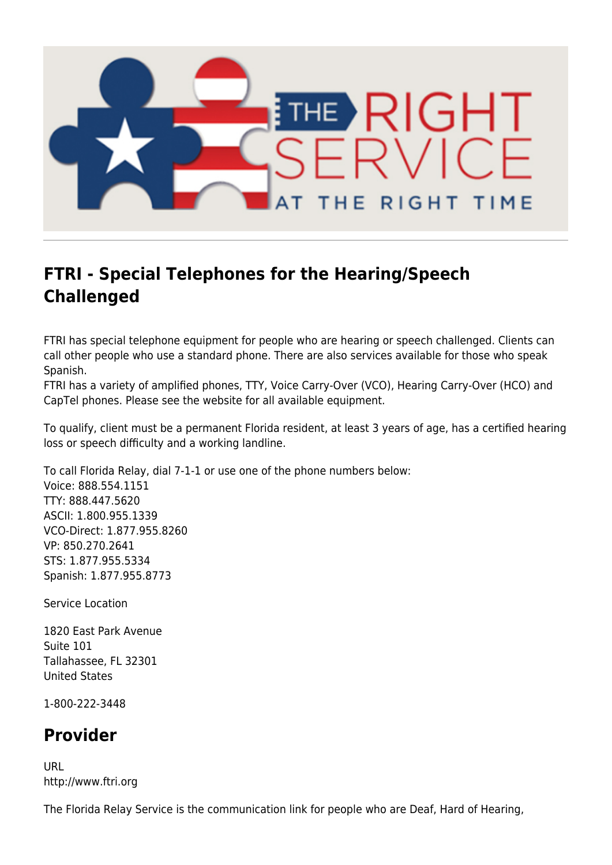

## **FTRI - Special Telephones for the Hearing/Speech Challenged**

FTRI has special telephone equipment for people who are hearing or speech challenged. Clients can call other people who use a standard phone. There are also services available for those who speak Spanish.

FTRI has a variety of amplified phones, TTY, Voice Carry-Over (VCO), Hearing Carry-Over (HCO) and CapTel phones. Please see the website for all available equipment.

To qualify, client must be a permanent Florida resident, at least 3 years of age, has a certified hearing loss or speech difficulty and a working landline.

To call Florida Relay, dial 7-1-1 or use one of the phone numbers below: Voice: 888.554.1151 TTY: 888.447.5620 ASCII: 1.800.955.1339 VCO-Direct: 1.877.955.8260 VP: 850.270.2641 STS: 1.877.955.5334 Spanish: 1.877.955.8773

Service Location

1820 East Park Avenue Suite 101 Tallahassee, FL 32301 United States

1-800-222-3448

## **Provider**

URL http://www.ftri.org

The Florida Relay Service is the communication link for people who are Deaf, Hard of Hearing,